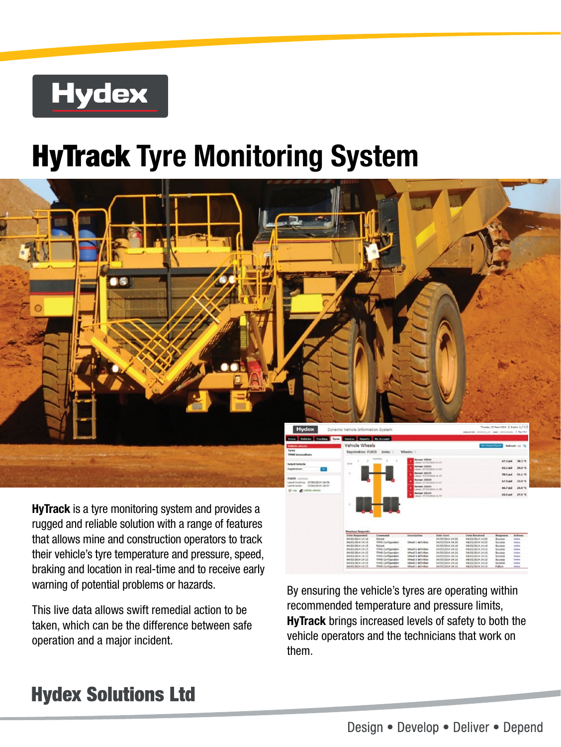# **Hydex**

# HyTrack **Tyre Monitoring System**



**HyTrack** is a tyre monitoring system and provides a rugged and reliable solution with a range of features that allows mine and construction operators to track their vehicle's tyre temperature and pressure, speed, braking and location in real-time and to receive early warning of potential problems or hazards.

This live data allows swift remedial action to be taken, which can be the difference between safe operation and a major incident.

By ensuring the vehicle's tyres are operating within recommended temperature and pressure limits, HyTrack brings increased levels of safety to both the vehicle operators and the technicians that work on them.

### **Hydex Solutions Ltd**